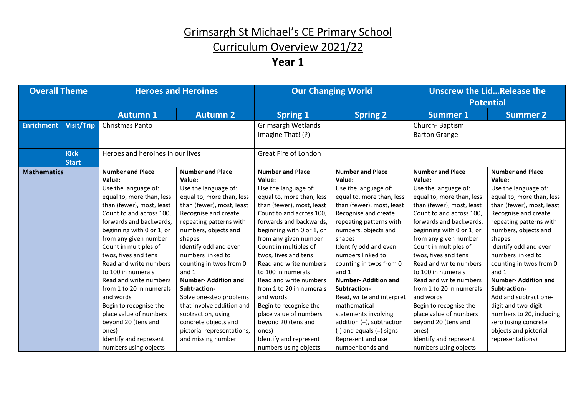# Curriculum Overview 2021/22

| <b>Overall Theme</b> |                   |                                  | <b>Heroes and Heroines</b> |                           | <b>Our Changing World</b>    |                           | Unscrew the LidRelease the<br><b>Potential</b> |  |
|----------------------|-------------------|----------------------------------|----------------------------|---------------------------|------------------------------|---------------------------|------------------------------------------------|--|
|                      |                   | <b>Autumn 1</b>                  | <b>Autumn 2</b>            | <b>Spring 1</b>           | <b>Spring 2</b>              | <b>Summer 1</b>           | <b>Summer 2</b>                                |  |
| <b>Enrichment</b>    | <b>Visit/Trip</b> | Christmas Panto                  |                            | <b>Grimsargh Wetlands</b> |                              | Church-Baptism            |                                                |  |
|                      |                   |                                  |                            | Imagine That! (?)         |                              | <b>Barton Grange</b>      |                                                |  |
|                      |                   |                                  |                            |                           |                              |                           |                                                |  |
|                      | <b>Kick</b>       | Heroes and heroines in our lives |                            | Great Fire of London      |                              |                           |                                                |  |
|                      | <b>Start</b>      |                                  |                            |                           |                              |                           |                                                |  |
| <b>Mathematics</b>   |                   | <b>Number and Place</b>          | <b>Number and Place</b>    | <b>Number and Place</b>   | <b>Number and Place</b>      | <b>Number and Place</b>   | <b>Number and Place</b>                        |  |
|                      |                   | Value:                           | Value:                     | Value:                    | Value:                       | Value:                    | Value:                                         |  |
|                      |                   | Use the language of:             | Use the language of:       | Use the language of:      | Use the language of:         | Use the language of:      | Use the language of:                           |  |
|                      |                   | equal to, more than, less        | equal to, more than, less  | equal to, more than, less | equal to, more than, less    | equal to, more than, less | equal to, more than, less                      |  |
|                      |                   | than (fewer), most, least        | than (fewer), most, least  | than (fewer), most, least | than (fewer), most, least    | than (fewer), most, least | than (fewer), most, least                      |  |
|                      |                   | Count to and across 100.         | Recognise and create       | Count to and across 100,  | Recognise and create         | Count to and across 100.  | Recognise and create                           |  |
|                      |                   | forwards and backwards,          | repeating patterns with    | forwards and backwards.   | repeating patterns with      | forwards and backwards,   | repeating patterns with                        |  |
|                      |                   | beginning with 0 or 1, or        | numbers, objects and       | beginning with 0 or 1, or | numbers, objects and         | beginning with 0 or 1, or | numbers, objects and                           |  |
|                      |                   | from any given number            | shapes                     | from any given number     | shapes                       | from any given number     | shapes                                         |  |
|                      |                   | Count in multiples of            | Identify odd and even      | Count in multiples of     | Identify odd and even        | Count in multiples of     | Identify odd and even                          |  |
|                      |                   | twos, fives and tens             | numbers linked to          | twos, fives and tens      | numbers linked to            | twos, fives and tens      | numbers linked to                              |  |
|                      |                   | Read and write numbers           | counting in twos from 0    | Read and write numbers    | counting in twos from 0      | Read and write numbers    | counting in twos from 0                        |  |
|                      |                   | to 100 in numerals               | and 1                      | to 100 in numerals        | and 1                        | to 100 in numerals        | and 1                                          |  |
|                      |                   | Read and write numbers           | <b>Number-Addition and</b> | Read and write numbers    | <b>Number-Addition and</b>   | Read and write numbers    | <b>Number-Addition and</b>                     |  |
|                      |                   | from 1 to 20 in numerals         | Subtraction-               | from 1 to 20 in numerals  | Subtraction-                 | from 1 to 20 in numerals  | Subtraction-                                   |  |
|                      |                   | and words                        | Solve one-step problems    | and words                 | Read, write and interpret    | and words                 | Add and subtract one-                          |  |
|                      |                   | Begin to recognise the           | that involve addition and  | Begin to recognise the    | mathematical                 | Begin to recognise the    | digit and two-digit                            |  |
|                      |                   | place value of numbers           | subtraction, using         | place value of numbers    | statements involving         | place value of numbers    | numbers to 20, including                       |  |
|                      |                   | beyond 20 (tens and              | concrete objects and       | beyond 20 (tens and       | addition (+), subtraction    | beyond 20 (tens and       | zero (using concrete                           |  |
|                      |                   | ones)                            | pictorial representations, | ones)                     | $(-)$ and equals $(=)$ signs | ones)                     | objects and pictorial                          |  |
|                      |                   | Identify and represent           | and missing number         | Identify and represent    | Represent and use            | Identify and represent    | representations)                               |  |
|                      |                   | numbers using objects            |                            | numbers using objects     | number bonds and             | numbers using objects     |                                                |  |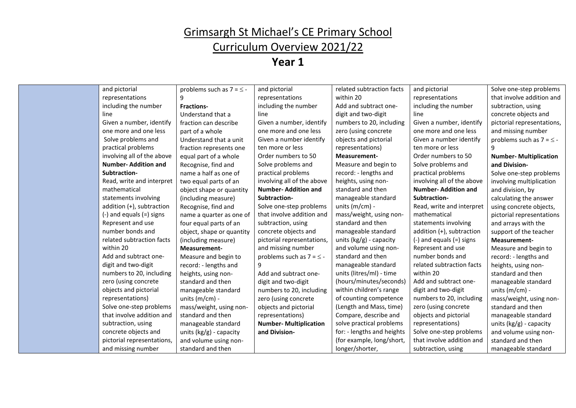### Curriculum Overview 2021/22

| and pictorial                | problems such as $7 = 5$  | and pictorial                  | related subtraction facts  | and pictorial                | Solve one-step problems       |
|------------------------------|---------------------------|--------------------------------|----------------------------|------------------------------|-------------------------------|
| representations              |                           | representations                | within 20                  | representations              | that involve addition and     |
| including the number         | <b>Fractions-</b>         | including the number           | Add and subtract one-      | including the number         | subtraction, using            |
| line                         | Understand that a         | line                           | digit and two-digit        | line                         | concrete objects and          |
| Given a number, identify     | fraction can describe     | Given a number, identify       | numbers to 20, including   | Given a number, identify     | pictorial representations,    |
| one more and one less        | part of a whole           | one more and one less          | zero (using concrete       | one more and one less        | and missing number            |
| Solve problems and           | Understand that a unit    | Given a number identify        | objects and pictorial      | Given a number identify      | problems such as $7 = 5 - 1$  |
| practical problems           | fraction represents one   | ten more or less               | representations)           | ten more or less             |                               |
| involving all of the above   | equal part of a whole     | Order numbers to 50            | Measurement-               | Order numbers to 50          | <b>Number- Multiplication</b> |
| <b>Number-Addition and</b>   | Recognise, find and       | Solve problems and             | Measure and begin to       | Solve problems and           | and Division-                 |
| Subtraction-                 | name a half as one of     | practical problems             | record: - lengths and      | practical problems           | Solve one-step problems       |
| Read, write and interpret    | two equal parts of an     | involving all of the above     | heights, using non-        | involving all of the above   | involving multiplication      |
| mathematical                 | object shape or quantity  | <b>Number-Addition and</b>     | standard and then          | <b>Number-Addition and</b>   | and division, by              |
| statements involving         | (including measure)       | Subtraction-                   | manageable standard        | Subtraction-                 | calculating the answer        |
| addition (+), subtraction    | Recognise, find and       | Solve one-step problems        | units $(m/cm)$ -           | Read, write and interpret    | using concrete objects,       |
| $(-)$ and equals $(=)$ signs | name a quarter as one of  | that involve addition and      | mass/weight, using non-    | mathematical                 | pictorial representations     |
| Represent and use            | four equal parts of an    | subtraction, using             | standard and then          | statements involving         | and arrays with the           |
| number bonds and             | object, shape or quantity | concrete objects and           | manageable standard        | addition (+), subtraction    | support of the teacher        |
| related subtraction facts    | (including measure)       | pictorial representations,     | units $(kg/g)$ - capacity  | $(-)$ and equals $(=)$ signs | Measurement-                  |
| within 20                    | Measurement-              | and missing number             | and volume using non-      | Represent and use            | Measure and begin to          |
| Add and subtract one-        | Measure and begin to      | problems such as $7 = \leq -1$ | standard and then          | number bonds and             | record: - lengths and         |
| digit and two-digit          | record: - lengths and     | 9                              | manageable standard        | related subtraction facts    | heights, using non-           |
| numbers to 20, including     | heights, using non-       | Add and subtract one-          | units (litres/ml) - time   | within 20                    | standard and then             |
| zero (using concrete         | standard and then         | digit and two-digit            | (hours/minutes/seconds)    | Add and subtract one-        | manageable standard           |
| objects and pictorial        | manageable standard       | numbers to 20, including       | within children's range    | digit and two-digit          | units $(m/cm)$ -              |
| representations)             | units (m/cm) -            | zero (using concrete           | of counting competence     | numbers to 20, including     | mass/weight, using non-       |
| Solve one-step problems      | mass/weight, using non-   | objects and pictorial          | (Length and Mass, time)    | zero (using concrete         | standard and then             |
| that involve addition and    | standard and then         | representations)               | Compare, describe and      | objects and pictorial        | manageable standard           |
| subtraction, using           | manageable standard       | <b>Number-Multiplication</b>   | solve practical problems   | representations)             | units $(kg/g)$ - capacity     |
| concrete objects and         | units $(kg/g)$ - capacity | and Division-                  | for: - lengths and heights | Solve one-step problems      | and volume using non-         |
| pictorial representations,   | and volume using non-     |                                | (for example, long/short,  | that involve addition and    | standard and then             |
| and missing number           | standard and then         |                                | longer/shorter,            | subtraction, using           | manageable standard           |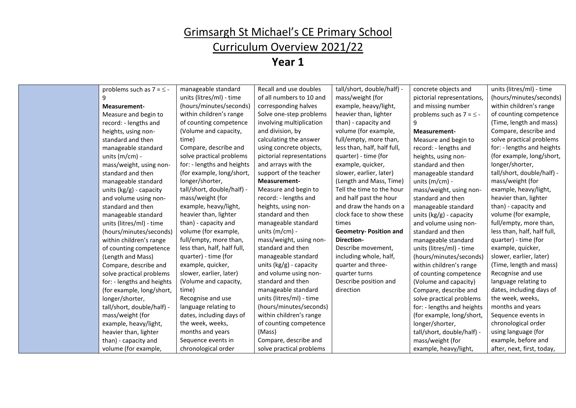### Curriculum Overview 2021/22

| problems such as $7 = 5$ - | manageable standard         | Recall and use doubles    | tall/short, double/half) -   | concrete objects and          | units (litres/ml) - time    |
|----------------------------|-----------------------------|---------------------------|------------------------------|-------------------------------|-----------------------------|
| 9                          | units (litres/ml) - time    | of all numbers to 10 and  | mass/weight (for             | pictorial representations,    | (hours/minutes/seconds)     |
| <b>Measurement-</b>        | (hours/minutes/seconds)     | corresponding halves      | example, heavy/light,        | and missing number            | within children's range     |
| Measure and begin to       | within children's range     | Solve one-step problems   | heavier than, lighter        | problems such as $7 = \le -1$ | of counting competence      |
| record: - lengths and      | of counting competence      | involving multiplication  | than) - capacity and         | 9                             | (Time, length and mass)     |
| heights, using non-        | (Volume and capacity,       | and division, by          | volume (for example,         | Measurement-                  | Compare, describe and       |
| standard and then          | time)                       | calculating the answer    | full/empty, more than,       | Measure and begin to          | solve practical problems    |
| manageable standard        | Compare, describe and       | using concrete objects,   | less than, half, half full,  | record: - lengths and         | for: - lengths and heights  |
| units ( $m/cm$ ) -         | solve practical problems    | pictorial representations | quarter) - time (for         | heights, using non-           | (for example, long/short,   |
| mass/weight, using non-    | for: - lengths and heights  | and arrays with the       | example, quicker,            | standard and then             | longer/shorter,             |
| standard and then          | (for example, long/short,   | support of the teacher    | slower, earlier, later)      | manageable standard           | tall/short, double/half) -  |
| manageable standard        | longer/shorter,             | Measurement-              | (Length and Mass, Time)      | units ( $m/cm$ ) -            | mass/weight (for            |
| units (kg/g) - capacity    | tall/short, double/half) -  | Measure and begin to      | Tell the time to the hour    | mass/weight, using non-       | example, heavy/light,       |
| and volume using non-      | mass/weight (for            | record: - lengths and     | and half past the hour       | standard and then             | heavier than, lighter       |
| standard and then          | example, heavy/light,       | heights, using non-       | and draw the hands on a      | manageable standard           | than) - capacity and        |
| manageable standard        | heavier than, lighter       | standard and then         | clock face to show these     | units (kg/g) - capacity       | volume (for example,        |
| units (litres/ml) - time   | than) - capacity and        | manageable standard       | times                        | and volume using non-         | full/empty, more than,      |
| (hours/minutes/seconds)    | volume (for example,        | units $(m/cm)$ -          | <b>Geometry-Position and</b> | standard and then             | less than, half, half full, |
| within children's range    | full/empty, more than,      | mass/weight, using non-   | <b>Direction-</b>            | manageable standard           | quarter) - time (for        |
| of counting competence     | less than, half, half full, | standard and then         | Describe movement,           | units (litres/ml) - time      | example, quicker,           |
| (Length and Mass)          | quarter) - time (for        | manageable standard       | including whole, half,       | (hours/minutes/seconds)       | slower, earlier, later)     |
| Compare, describe and      | example, quicker,           | units $(kg/g)$ - capacity | quarter and three-           | within children's range       | (Time, length and mass)     |
| solve practical problems   | slower, earlier, later)     | and volume using non-     | quarter turns                | of counting competence        | Recognise and use           |
| for: - lengths and heights | (Volume and capacity,       | standard and then         | Describe position and        | (Volume and capacity)         | language relating to        |
| (for example, long/short,  | time)                       | manageable standard       | direction                    | Compare, describe and         | dates, including days of    |
| longer/shorter,            | Recognise and use           | units (litres/ml) - time  |                              | solve practical problems      | the week, weeks,            |
| tall/short, double/half) - | language relating to        | (hours/minutes/seconds)   |                              | for: - lengths and heights    | months and years            |
| mass/weight (for           | dates, including days of    | within children's range   |                              | (for example, long/short,     | Sequence events in          |
| example, heavy/light,      | the week, weeks,            | of counting competence    |                              | longer/shorter,               | chronological order         |
| heavier than, lighter      | months and years            | (Mass)                    |                              | tall/short, double/half) -    | using language (for         |
| than) - capacity and       | Sequence events in          | Compare, describe and     |                              | mass/weight (for              | example, before and         |
| volume (for example,       | chronological order         | solve practical problems  |                              | example, heavy/light,         | after, next, first, today,  |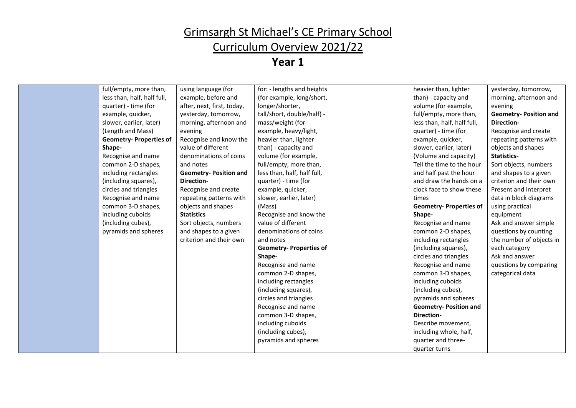### Curriculum Overview 2021/22

| full/empty, more than,<br>using language (for<br>for: - lengths and heights<br>heavier than, lighter<br>yesterday, tomorrow,<br>less than, half, half full,<br>example, before and<br>(for example, long/short,<br>than) - capacity and<br>morning, afternoon and<br>longer/shorter,<br>quarter) - time (for<br>after, next, first, today,<br>volume (for example,<br>evening<br>tall/short, double/half) -<br>full/empty, more than,<br>example, quicker,<br>yesterday, tomorrow,<br><b>Geometry-Position and</b><br>mass/weight (for<br>less than, half, half full,<br>slower, earlier, later)<br>morning, afternoon and<br>Direction-<br>(Length and Mass)<br>evening<br>example, heavy/light,<br>quarter) - time (for<br>Recognise and create<br>Recognise and know the<br>heavier than, lighter<br><b>Geometry-Properties of</b><br>example, quicker,<br>repeating patterns with<br>value of different<br>than) - capacity and<br>slower, earlier, later)<br>objects and shapes<br>Shape-<br>Recognise and name<br>denominations of coins<br>volume (for example,<br>(Volume and capacity)<br>Statistics-<br>full/empty, more than,<br>Tell the time to the hour<br>Sort objects, numbers<br>common 2-D shapes,<br>and notes<br>and half past the hour<br>including rectangles<br><b>Geometry-Position and</b><br>less than, half, half full,<br>and shapes to a given<br>and draw the hands on a<br>(including squares),<br><b>Direction-</b><br>quarter) - time (for<br>criterion and their own<br>circles and triangles<br>Recognise and create<br>example, quicker,<br>clock face to show these<br>Present and interpret<br>Recognise and name<br>slower, earlier, later)<br>data in block diagrams<br>repeating patterns with<br>times<br>objects and shapes<br>common 3-D shapes,<br>(Mass)<br><b>Geometry-Properties of</b><br>using practical<br>including cuboids<br>Recognise and know the<br><b>Statistics</b><br>Shape-<br>equipment<br>(including cubes),<br>Sort objects, numbers<br>value of different<br>Ask and answer simple<br>Recognise and name<br>pyramids and spheres<br>and shapes to a given<br>denominations of coins<br>common 2-D shapes,<br>questions by counting<br>criterion and their own<br>including rectangles<br>the number of objects in<br>and notes<br>(including squares),<br><b>Geometry-Properties of</b><br>each category<br>circles and triangles<br>Ask and answer<br>Shape-<br>Recognise and name<br>Recognise and name<br>questions by comparing<br>common 2-D shapes,<br>common 3-D shapes,<br>categorical data<br>including cuboids<br>including rectangles<br>(including cubes),<br>(including squares),<br>circles and triangles<br>pyramids and spheres<br>Recognise and name<br><b>Geometry-Position and</b><br>Direction-<br>common 3-D shapes,<br>including cuboids<br>Describe movement,<br>(including cubes),<br>including whole, half,<br>pyramids and spheres<br>quarter and three-<br>quarter turns |  |  |  |  |
|----------------------------------------------------------------------------------------------------------------------------------------------------------------------------------------------------------------------------------------------------------------------------------------------------------------------------------------------------------------------------------------------------------------------------------------------------------------------------------------------------------------------------------------------------------------------------------------------------------------------------------------------------------------------------------------------------------------------------------------------------------------------------------------------------------------------------------------------------------------------------------------------------------------------------------------------------------------------------------------------------------------------------------------------------------------------------------------------------------------------------------------------------------------------------------------------------------------------------------------------------------------------------------------------------------------------------------------------------------------------------------------------------------------------------------------------------------------------------------------------------------------------------------------------------------------------------------------------------------------------------------------------------------------------------------------------------------------------------------------------------------------------------------------------------------------------------------------------------------------------------------------------------------------------------------------------------------------------------------------------------------------------------------------------------------------------------------------------------------------------------------------------------------------------------------------------------------------------------------------------------------------------------------------------------------------------------------------------------------------------------------------------------------------------------------------------------------------------------------------------------------------------------------------------------------------------------------------------------------------------------------------------------------------------------------------------------------------------------------------------------------------------------------------------------------------------------------------------------------------------------------------------------------------------------------------------------------------------|--|--|--|--|
|                                                                                                                                                                                                                                                                                                                                                                                                                                                                                                                                                                                                                                                                                                                                                                                                                                                                                                                                                                                                                                                                                                                                                                                                                                                                                                                                                                                                                                                                                                                                                                                                                                                                                                                                                                                                                                                                                                                                                                                                                                                                                                                                                                                                                                                                                                                                                                                                                                                                                                                                                                                                                                                                                                                                                                                                                                                                                                                                                                      |  |  |  |  |
|                                                                                                                                                                                                                                                                                                                                                                                                                                                                                                                                                                                                                                                                                                                                                                                                                                                                                                                                                                                                                                                                                                                                                                                                                                                                                                                                                                                                                                                                                                                                                                                                                                                                                                                                                                                                                                                                                                                                                                                                                                                                                                                                                                                                                                                                                                                                                                                                                                                                                                                                                                                                                                                                                                                                                                                                                                                                                                                                                                      |  |  |  |  |
|                                                                                                                                                                                                                                                                                                                                                                                                                                                                                                                                                                                                                                                                                                                                                                                                                                                                                                                                                                                                                                                                                                                                                                                                                                                                                                                                                                                                                                                                                                                                                                                                                                                                                                                                                                                                                                                                                                                                                                                                                                                                                                                                                                                                                                                                                                                                                                                                                                                                                                                                                                                                                                                                                                                                                                                                                                                                                                                                                                      |  |  |  |  |
|                                                                                                                                                                                                                                                                                                                                                                                                                                                                                                                                                                                                                                                                                                                                                                                                                                                                                                                                                                                                                                                                                                                                                                                                                                                                                                                                                                                                                                                                                                                                                                                                                                                                                                                                                                                                                                                                                                                                                                                                                                                                                                                                                                                                                                                                                                                                                                                                                                                                                                                                                                                                                                                                                                                                                                                                                                                                                                                                                                      |  |  |  |  |
|                                                                                                                                                                                                                                                                                                                                                                                                                                                                                                                                                                                                                                                                                                                                                                                                                                                                                                                                                                                                                                                                                                                                                                                                                                                                                                                                                                                                                                                                                                                                                                                                                                                                                                                                                                                                                                                                                                                                                                                                                                                                                                                                                                                                                                                                                                                                                                                                                                                                                                                                                                                                                                                                                                                                                                                                                                                                                                                                                                      |  |  |  |  |
|                                                                                                                                                                                                                                                                                                                                                                                                                                                                                                                                                                                                                                                                                                                                                                                                                                                                                                                                                                                                                                                                                                                                                                                                                                                                                                                                                                                                                                                                                                                                                                                                                                                                                                                                                                                                                                                                                                                                                                                                                                                                                                                                                                                                                                                                                                                                                                                                                                                                                                                                                                                                                                                                                                                                                                                                                                                                                                                                                                      |  |  |  |  |
|                                                                                                                                                                                                                                                                                                                                                                                                                                                                                                                                                                                                                                                                                                                                                                                                                                                                                                                                                                                                                                                                                                                                                                                                                                                                                                                                                                                                                                                                                                                                                                                                                                                                                                                                                                                                                                                                                                                                                                                                                                                                                                                                                                                                                                                                                                                                                                                                                                                                                                                                                                                                                                                                                                                                                                                                                                                                                                                                                                      |  |  |  |  |
|                                                                                                                                                                                                                                                                                                                                                                                                                                                                                                                                                                                                                                                                                                                                                                                                                                                                                                                                                                                                                                                                                                                                                                                                                                                                                                                                                                                                                                                                                                                                                                                                                                                                                                                                                                                                                                                                                                                                                                                                                                                                                                                                                                                                                                                                                                                                                                                                                                                                                                                                                                                                                                                                                                                                                                                                                                                                                                                                                                      |  |  |  |  |
|                                                                                                                                                                                                                                                                                                                                                                                                                                                                                                                                                                                                                                                                                                                                                                                                                                                                                                                                                                                                                                                                                                                                                                                                                                                                                                                                                                                                                                                                                                                                                                                                                                                                                                                                                                                                                                                                                                                                                                                                                                                                                                                                                                                                                                                                                                                                                                                                                                                                                                                                                                                                                                                                                                                                                                                                                                                                                                                                                                      |  |  |  |  |
|                                                                                                                                                                                                                                                                                                                                                                                                                                                                                                                                                                                                                                                                                                                                                                                                                                                                                                                                                                                                                                                                                                                                                                                                                                                                                                                                                                                                                                                                                                                                                                                                                                                                                                                                                                                                                                                                                                                                                                                                                                                                                                                                                                                                                                                                                                                                                                                                                                                                                                                                                                                                                                                                                                                                                                                                                                                                                                                                                                      |  |  |  |  |
|                                                                                                                                                                                                                                                                                                                                                                                                                                                                                                                                                                                                                                                                                                                                                                                                                                                                                                                                                                                                                                                                                                                                                                                                                                                                                                                                                                                                                                                                                                                                                                                                                                                                                                                                                                                                                                                                                                                                                                                                                                                                                                                                                                                                                                                                                                                                                                                                                                                                                                                                                                                                                                                                                                                                                                                                                                                                                                                                                                      |  |  |  |  |
|                                                                                                                                                                                                                                                                                                                                                                                                                                                                                                                                                                                                                                                                                                                                                                                                                                                                                                                                                                                                                                                                                                                                                                                                                                                                                                                                                                                                                                                                                                                                                                                                                                                                                                                                                                                                                                                                                                                                                                                                                                                                                                                                                                                                                                                                                                                                                                                                                                                                                                                                                                                                                                                                                                                                                                                                                                                                                                                                                                      |  |  |  |  |
|                                                                                                                                                                                                                                                                                                                                                                                                                                                                                                                                                                                                                                                                                                                                                                                                                                                                                                                                                                                                                                                                                                                                                                                                                                                                                                                                                                                                                                                                                                                                                                                                                                                                                                                                                                                                                                                                                                                                                                                                                                                                                                                                                                                                                                                                                                                                                                                                                                                                                                                                                                                                                                                                                                                                                                                                                                                                                                                                                                      |  |  |  |  |
|                                                                                                                                                                                                                                                                                                                                                                                                                                                                                                                                                                                                                                                                                                                                                                                                                                                                                                                                                                                                                                                                                                                                                                                                                                                                                                                                                                                                                                                                                                                                                                                                                                                                                                                                                                                                                                                                                                                                                                                                                                                                                                                                                                                                                                                                                                                                                                                                                                                                                                                                                                                                                                                                                                                                                                                                                                                                                                                                                                      |  |  |  |  |
|                                                                                                                                                                                                                                                                                                                                                                                                                                                                                                                                                                                                                                                                                                                                                                                                                                                                                                                                                                                                                                                                                                                                                                                                                                                                                                                                                                                                                                                                                                                                                                                                                                                                                                                                                                                                                                                                                                                                                                                                                                                                                                                                                                                                                                                                                                                                                                                                                                                                                                                                                                                                                                                                                                                                                                                                                                                                                                                                                                      |  |  |  |  |
|                                                                                                                                                                                                                                                                                                                                                                                                                                                                                                                                                                                                                                                                                                                                                                                                                                                                                                                                                                                                                                                                                                                                                                                                                                                                                                                                                                                                                                                                                                                                                                                                                                                                                                                                                                                                                                                                                                                                                                                                                                                                                                                                                                                                                                                                                                                                                                                                                                                                                                                                                                                                                                                                                                                                                                                                                                                                                                                                                                      |  |  |  |  |
|                                                                                                                                                                                                                                                                                                                                                                                                                                                                                                                                                                                                                                                                                                                                                                                                                                                                                                                                                                                                                                                                                                                                                                                                                                                                                                                                                                                                                                                                                                                                                                                                                                                                                                                                                                                                                                                                                                                                                                                                                                                                                                                                                                                                                                                                                                                                                                                                                                                                                                                                                                                                                                                                                                                                                                                                                                                                                                                                                                      |  |  |  |  |
|                                                                                                                                                                                                                                                                                                                                                                                                                                                                                                                                                                                                                                                                                                                                                                                                                                                                                                                                                                                                                                                                                                                                                                                                                                                                                                                                                                                                                                                                                                                                                                                                                                                                                                                                                                                                                                                                                                                                                                                                                                                                                                                                                                                                                                                                                                                                                                                                                                                                                                                                                                                                                                                                                                                                                                                                                                                                                                                                                                      |  |  |  |  |
|                                                                                                                                                                                                                                                                                                                                                                                                                                                                                                                                                                                                                                                                                                                                                                                                                                                                                                                                                                                                                                                                                                                                                                                                                                                                                                                                                                                                                                                                                                                                                                                                                                                                                                                                                                                                                                                                                                                                                                                                                                                                                                                                                                                                                                                                                                                                                                                                                                                                                                                                                                                                                                                                                                                                                                                                                                                                                                                                                                      |  |  |  |  |
|                                                                                                                                                                                                                                                                                                                                                                                                                                                                                                                                                                                                                                                                                                                                                                                                                                                                                                                                                                                                                                                                                                                                                                                                                                                                                                                                                                                                                                                                                                                                                                                                                                                                                                                                                                                                                                                                                                                                                                                                                                                                                                                                                                                                                                                                                                                                                                                                                                                                                                                                                                                                                                                                                                                                                                                                                                                                                                                                                                      |  |  |  |  |
|                                                                                                                                                                                                                                                                                                                                                                                                                                                                                                                                                                                                                                                                                                                                                                                                                                                                                                                                                                                                                                                                                                                                                                                                                                                                                                                                                                                                                                                                                                                                                                                                                                                                                                                                                                                                                                                                                                                                                                                                                                                                                                                                                                                                                                                                                                                                                                                                                                                                                                                                                                                                                                                                                                                                                                                                                                                                                                                                                                      |  |  |  |  |
|                                                                                                                                                                                                                                                                                                                                                                                                                                                                                                                                                                                                                                                                                                                                                                                                                                                                                                                                                                                                                                                                                                                                                                                                                                                                                                                                                                                                                                                                                                                                                                                                                                                                                                                                                                                                                                                                                                                                                                                                                                                                                                                                                                                                                                                                                                                                                                                                                                                                                                                                                                                                                                                                                                                                                                                                                                                                                                                                                                      |  |  |  |  |
|                                                                                                                                                                                                                                                                                                                                                                                                                                                                                                                                                                                                                                                                                                                                                                                                                                                                                                                                                                                                                                                                                                                                                                                                                                                                                                                                                                                                                                                                                                                                                                                                                                                                                                                                                                                                                                                                                                                                                                                                                                                                                                                                                                                                                                                                                                                                                                                                                                                                                                                                                                                                                                                                                                                                                                                                                                                                                                                                                                      |  |  |  |  |
|                                                                                                                                                                                                                                                                                                                                                                                                                                                                                                                                                                                                                                                                                                                                                                                                                                                                                                                                                                                                                                                                                                                                                                                                                                                                                                                                                                                                                                                                                                                                                                                                                                                                                                                                                                                                                                                                                                                                                                                                                                                                                                                                                                                                                                                                                                                                                                                                                                                                                                                                                                                                                                                                                                                                                                                                                                                                                                                                                                      |  |  |  |  |
|                                                                                                                                                                                                                                                                                                                                                                                                                                                                                                                                                                                                                                                                                                                                                                                                                                                                                                                                                                                                                                                                                                                                                                                                                                                                                                                                                                                                                                                                                                                                                                                                                                                                                                                                                                                                                                                                                                                                                                                                                                                                                                                                                                                                                                                                                                                                                                                                                                                                                                                                                                                                                                                                                                                                                                                                                                                                                                                                                                      |  |  |  |  |
|                                                                                                                                                                                                                                                                                                                                                                                                                                                                                                                                                                                                                                                                                                                                                                                                                                                                                                                                                                                                                                                                                                                                                                                                                                                                                                                                                                                                                                                                                                                                                                                                                                                                                                                                                                                                                                                                                                                                                                                                                                                                                                                                                                                                                                                                                                                                                                                                                                                                                                                                                                                                                                                                                                                                                                                                                                                                                                                                                                      |  |  |  |  |
|                                                                                                                                                                                                                                                                                                                                                                                                                                                                                                                                                                                                                                                                                                                                                                                                                                                                                                                                                                                                                                                                                                                                                                                                                                                                                                                                                                                                                                                                                                                                                                                                                                                                                                                                                                                                                                                                                                                                                                                                                                                                                                                                                                                                                                                                                                                                                                                                                                                                                                                                                                                                                                                                                                                                                                                                                                                                                                                                                                      |  |  |  |  |
|                                                                                                                                                                                                                                                                                                                                                                                                                                                                                                                                                                                                                                                                                                                                                                                                                                                                                                                                                                                                                                                                                                                                                                                                                                                                                                                                                                                                                                                                                                                                                                                                                                                                                                                                                                                                                                                                                                                                                                                                                                                                                                                                                                                                                                                                                                                                                                                                                                                                                                                                                                                                                                                                                                                                                                                                                                                                                                                                                                      |  |  |  |  |
|                                                                                                                                                                                                                                                                                                                                                                                                                                                                                                                                                                                                                                                                                                                                                                                                                                                                                                                                                                                                                                                                                                                                                                                                                                                                                                                                                                                                                                                                                                                                                                                                                                                                                                                                                                                                                                                                                                                                                                                                                                                                                                                                                                                                                                                                                                                                                                                                                                                                                                                                                                                                                                                                                                                                                                                                                                                                                                                                                                      |  |  |  |  |
|                                                                                                                                                                                                                                                                                                                                                                                                                                                                                                                                                                                                                                                                                                                                                                                                                                                                                                                                                                                                                                                                                                                                                                                                                                                                                                                                                                                                                                                                                                                                                                                                                                                                                                                                                                                                                                                                                                                                                                                                                                                                                                                                                                                                                                                                                                                                                                                                                                                                                                                                                                                                                                                                                                                                                                                                                                                                                                                                                                      |  |  |  |  |
|                                                                                                                                                                                                                                                                                                                                                                                                                                                                                                                                                                                                                                                                                                                                                                                                                                                                                                                                                                                                                                                                                                                                                                                                                                                                                                                                                                                                                                                                                                                                                                                                                                                                                                                                                                                                                                                                                                                                                                                                                                                                                                                                                                                                                                                                                                                                                                                                                                                                                                                                                                                                                                                                                                                                                                                                                                                                                                                                                                      |  |  |  |  |
|                                                                                                                                                                                                                                                                                                                                                                                                                                                                                                                                                                                                                                                                                                                                                                                                                                                                                                                                                                                                                                                                                                                                                                                                                                                                                                                                                                                                                                                                                                                                                                                                                                                                                                                                                                                                                                                                                                                                                                                                                                                                                                                                                                                                                                                                                                                                                                                                                                                                                                                                                                                                                                                                                                                                                                                                                                                                                                                                                                      |  |  |  |  |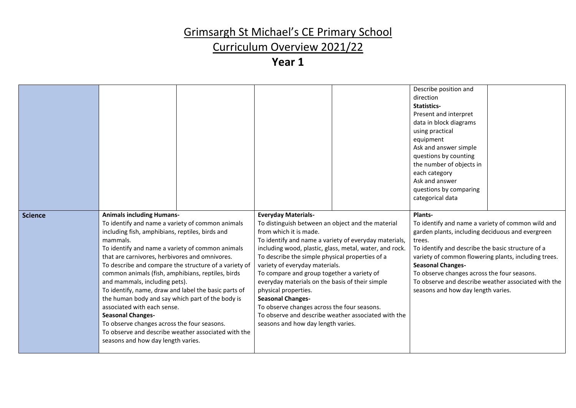# Curriculum Overview 2021/22

|                |                                                                                                                                                                                                                                                                                                                                                                                                                                                                                                                                                                                                                                                                                                                             |                                                                                                                                                                                                                                                                                                                                                                                                                                                                                                                                                                                                                     | Describe position and<br>direction<br>Statistics-<br>Present and interpret<br>data in block diagrams<br>using practical<br>equipment<br>Ask and answer simple<br>questions by counting<br>the number of objects in<br>each category<br>Ask and answer<br>questions by comparing<br>categorical data                                                                                                             |
|----------------|-----------------------------------------------------------------------------------------------------------------------------------------------------------------------------------------------------------------------------------------------------------------------------------------------------------------------------------------------------------------------------------------------------------------------------------------------------------------------------------------------------------------------------------------------------------------------------------------------------------------------------------------------------------------------------------------------------------------------------|---------------------------------------------------------------------------------------------------------------------------------------------------------------------------------------------------------------------------------------------------------------------------------------------------------------------------------------------------------------------------------------------------------------------------------------------------------------------------------------------------------------------------------------------------------------------------------------------------------------------|-----------------------------------------------------------------------------------------------------------------------------------------------------------------------------------------------------------------------------------------------------------------------------------------------------------------------------------------------------------------------------------------------------------------|
| <b>Science</b> | <b>Animals including Humans-</b><br>To identify and name a variety of common animals<br>including fish, amphibians, reptiles, birds and<br>mammals.<br>To identify and name a variety of common animals<br>that are carnivores, herbivores and omnivores.<br>To describe and compare the structure of a variety of<br>common animals (fish, amphibians, reptiles, birds<br>and mammals, including pets).<br>To identify, name, draw and label the basic parts of<br>the human body and say which part of the body is<br>associated with each sense.<br><b>Seasonal Changes-</b><br>To observe changes across the four seasons.<br>To observe and describe weather associated with the<br>seasons and how day length varies. | <b>Everyday Materials-</b><br>To distinguish between an object and the material<br>from which it is made.<br>To identify and name a variety of everyday materials,<br>including wood, plastic, glass, metal, water, and rock.<br>To describe the simple physical properties of a<br>variety of everyday materials.<br>To compare and group together a variety of<br>everyday materials on the basis of their simple<br>physical properties.<br><b>Seasonal Changes-</b><br>To observe changes across the four seasons.<br>To observe and describe weather associated with the<br>seasons and how day length varies. | Plants-<br>To identify and name a variety of common wild and<br>garden plants, including deciduous and evergreen<br>trees.<br>To identify and describe the basic structure of a<br>variety of common flowering plants, including trees.<br><b>Seasonal Changes-</b><br>To observe changes across the four seasons.<br>To observe and describe weather associated with the<br>seasons and how day length varies. |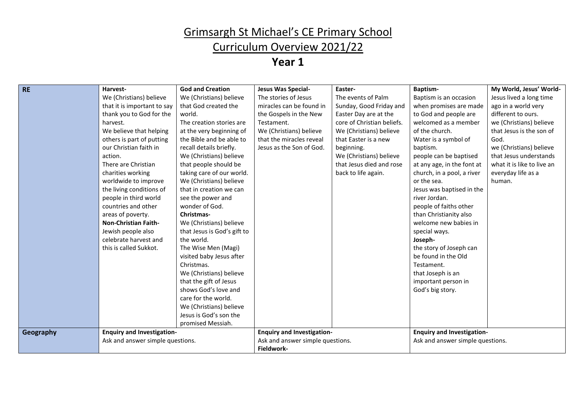### Curriculum Overview 2021/22

| <b>RE</b> | Harvest-                          | <b>God and Creation</b>     | Jesus Was Special-                | Easter-                    | <b>Baptism-</b>                   | My World, Jesus' World-    |
|-----------|-----------------------------------|-----------------------------|-----------------------------------|----------------------------|-----------------------------------|----------------------------|
|           | We (Christians) believe           | We (Christians) believe     | The stories of Jesus              | The events of Palm         | Baptism is an occasion            | Jesus lived a long time    |
|           | that it is important to say       | that God created the        | miracles can be found in          | Sunday, Good Friday and    | when promises are made            | ago in a world very        |
|           | thank you to God for the          | world.                      | the Gospels in the New            | Easter Day are at the      | to God and people are             | different to ours.         |
|           | harvest.                          | The creation stories are    | Testament.                        | core of Christian beliefs. | welcomed as a member              | we (Christians) believe    |
|           | We believe that helping           | at the very beginning of    | We (Christians) believe           | We (Christians) believe    | of the church.                    | that Jesus is the son of   |
|           | others is part of putting         | the Bible and be able to    | that the miracles reveal          | that Easter is a new       | Water is a symbol of              | God.                       |
|           | our Christian faith in            | recall details briefly.     | Jesus as the Son of God.          | beginning.                 | baptism.                          | we (Christians) believe    |
|           | action.                           | We (Christians) believe     |                                   | We (Christians) believe    | people can be baptised            | that Jesus understands     |
|           | There are Christian               | that people should be       |                                   | that Jesus died and rose   | at any age, in the font at        | what it is like to live an |
|           | charities working                 | taking care of our world.   |                                   | back to life again.        | church, in a pool, a river        | everyday life as a         |
|           | worldwide to improve              | We (Christians) believe     |                                   |                            | or the sea.                       | human.                     |
|           | the living conditions of          | that in creation we can     |                                   |                            | Jesus was baptised in the         |                            |
|           | people in third world             | see the power and           |                                   |                            | river Jordan.                     |                            |
|           | countries and other               | wonder of God.              |                                   |                            | people of faiths other            |                            |
|           | areas of poverty.                 | Christmas-                  |                                   |                            | than Christianity also            |                            |
|           | <b>Non-Christian Faith-</b>       | We (Christians) believe     |                                   |                            | welcome new babies in             |                            |
|           | Jewish people also                | that Jesus is God's gift to |                                   |                            | special ways.                     |                            |
|           | celebrate harvest and             | the world.                  |                                   |                            | Joseph-                           |                            |
|           | this is called Sukkot.            | The Wise Men (Magi)         |                                   |                            | the story of Joseph can           |                            |
|           |                                   | visited baby Jesus after    |                                   |                            | be found in the Old               |                            |
|           |                                   | Christmas.                  |                                   |                            | Testament.                        |                            |
|           |                                   | We (Christians) believe     |                                   |                            | that Joseph is an                 |                            |
|           |                                   | that the gift of Jesus      |                                   |                            | important person in               |                            |
|           |                                   | shows God's love and        |                                   |                            | God's big story.                  |                            |
|           |                                   | care for the world.         |                                   |                            |                                   |                            |
|           |                                   | We (Christians) believe     |                                   |                            |                                   |                            |
|           |                                   | Jesus is God's son the      |                                   |                            |                                   |                            |
|           |                                   | promised Messiah.           |                                   |                            |                                   |                            |
| Geography | <b>Enquiry and Investigation-</b> |                             | <b>Enquiry and Investigation-</b> |                            | <b>Enquiry and Investigation-</b> |                            |
|           | Ask and answer simple questions.  |                             | Ask and answer simple questions.  |                            | Ask and answer simple questions.  |                            |
|           |                                   |                             | Fieldwork-                        |                            |                                   |                            |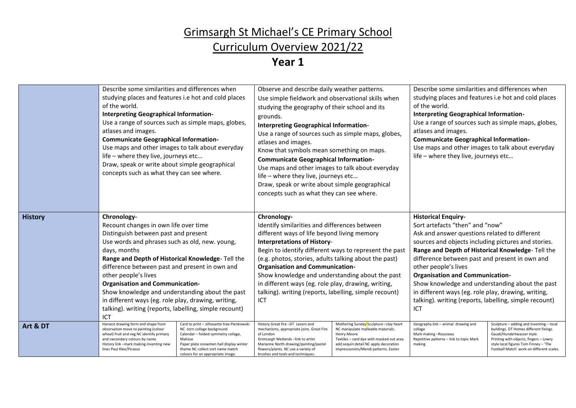# Curriculum Overview 2021/22

|                | Describe some similarities and differences when<br>studying places and features i.e hot and cold places<br>of the world.<br>Interpreting Geographical Information-<br>Use a range of sources such as simple maps, globes,<br>atlases and images.<br><b>Communicate Geographical Information-</b><br>Use maps and other images to talk about everyday<br>life - where they live, journeys etc<br>Draw, speak or write about simple geographical<br>concepts such as what they can see where.                       |                                                                                                                                                                                                                                                 | Observe and describe daily weather patterns.<br>Use simple fieldwork and observational skills when<br>studying the geography of their school and its<br>grounds.<br>Interpreting Geographical Information-<br>Use a range of sources such as simple maps, globes,<br>atlases and images.<br>Know that symbols mean something on maps.<br><b>Communicate Geographical Information-</b><br>Use maps and other images to talk about everyday<br>life - where they live, journeys etc<br>Draw, speak or write about simple geographical<br>concepts such as what they can see where. |                                                                                                                                                                                                                           | Describe some similarities and differences when<br>studying places and features i.e hot and cold places<br>of the world.<br>Interpreting Geographical Information-<br>Use a range of sources such as simple maps, globes,<br>atlases and images.<br><b>Communicate Geographical Information-</b><br>Use maps and other images to talk about everyday<br>life - where they live, journeys etc                                                                                                                             |                                                                                                                                                                                                                                                  |
|----------------|-------------------------------------------------------------------------------------------------------------------------------------------------------------------------------------------------------------------------------------------------------------------------------------------------------------------------------------------------------------------------------------------------------------------------------------------------------------------------------------------------------------------|-------------------------------------------------------------------------------------------------------------------------------------------------------------------------------------------------------------------------------------------------|----------------------------------------------------------------------------------------------------------------------------------------------------------------------------------------------------------------------------------------------------------------------------------------------------------------------------------------------------------------------------------------------------------------------------------------------------------------------------------------------------------------------------------------------------------------------------------|---------------------------------------------------------------------------------------------------------------------------------------------------------------------------------------------------------------------------|--------------------------------------------------------------------------------------------------------------------------------------------------------------------------------------------------------------------------------------------------------------------------------------------------------------------------------------------------------------------------------------------------------------------------------------------------------------------------------------------------------------------------|--------------------------------------------------------------------------------------------------------------------------------------------------------------------------------------------------------------------------------------------------|
| <b>History</b> | Chronology-<br>Recount changes in own life over time<br>Distinguish between past and present<br>Use words and phrases such as old, new. young,<br>days, months<br>Range and Depth of Historical Knowledge-Tell the<br>difference between past and present in own and<br>other people's lives<br><b>Organisation and Communication-</b><br>Show knowledge and understanding about the past<br>in different ways (eg. role play, drawing, writing,<br>talking). writing (reports, labelling, simple recount)<br>ICT |                                                                                                                                                                                                                                                 | Chronology-<br>Identify similarities and differences between<br>different ways of life beyond living memory<br><b>Interpretations of History-</b><br>Begin to identify different ways to represent the past<br>(e.g. photos, stories, adults talking about the past)<br><b>Organisation and Communication-</b><br>Show knowledge and understanding about the past<br>in different ways (eg. role play, drawing, writing,<br>talking). writing (reports, labelling, simple recount)<br>ICT                                                                                        |                                                                                                                                                                                                                           | <b>Historical Enquiry-</b><br>Sort artefacts "then" and "now"<br>Ask and answer questions related to different<br>sources and objects including pictures and stories.<br>Range and Depth of Historical Knowledge-Tell the<br>difference between past and present in own and<br>other people's lives<br><b>Organisation and Communication-</b><br>Show knowledge and understanding about the past<br>in different ways (eg. role play, drawing, writing,<br>talking). writing (reports, labelling, simple recount)<br>ICT |                                                                                                                                                                                                                                                  |
| Art & DT       | Harvest drawing form and shape from<br>observation move to painting (colour<br>wheel) fruit and veg NC identify primary<br>and swcondary colours by name.<br>History link -mark making inventing new<br>lines Paul Klee/Picasso                                                                                                                                                                                                                                                                                   | Card to print - silhouette tree Pienkowski<br>NC -torn collage background<br>Calendar - folded symmetry collage,<br>Matisse<br>Paper plate snowmen hall display winter<br>theme NC collect sort name match<br>colours for an appropriate image. | History Great fire -DT Levers and<br>mechanisms, appropriate joins. Great Fire<br>of London<br>Grimsargh Wetlands -link to artist<br>Marianne North drawing/painting/pastel<br>flowers/plants. NC use a variety of<br>brushes and tools and techniques.                                                                                                                                                                                                                                                                                                                          | Mothering Sunday Sculpture -clay heart<br>NC manipulate malleable materials.<br>Henry Moore<br>Textiles - card dye with masked out area<br>add sequin detail NC apply decoration<br>impressionists/Mendi patterns. Easter | Geography link - animal drawing and<br>collage<br>Mark making -Rousseau<br>Repetitive patterns - link to topic Mark<br>making                                                                                                                                                                                                                                                                                                                                                                                            | Sculpture - adding and inventing - local<br>buildings. DT Homes different fixings.<br>Gaudi/Hundertwasser style.<br>Printing with objects, fingers - Lowry<br>style local figures Tom Finney - 'The<br>Football Match' work on different scales. |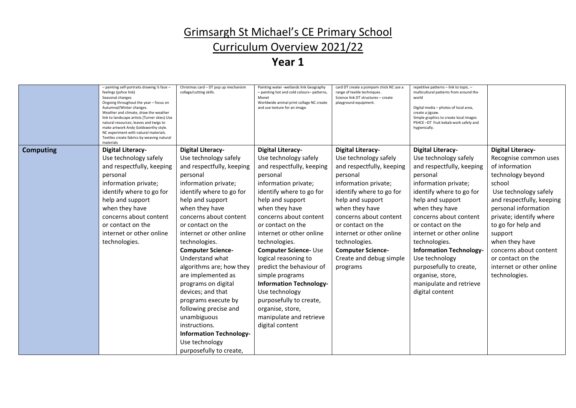### Curriculum Overview 2021/22

|                  | - painting self-portraits drawing 1/2 face -<br>feelings (pshce link)<br>Seasonal changes<br>Ongoing throughout the year - focus on<br>Autumnal/Winter changes.<br>Weather and climate, draw the weather<br>link to landscape artists (Turner skies) Use<br>natural resources; leaves and twigs to<br>make artwork Andy Goldsworthy style.<br>NC experiment with natural materials.<br>Textiles create fabrics by weaving natural<br>materials | Christmas card - DT pop up mechanism<br>collage/cutting skills. | Painting water -wetlands link Geography<br>- painting hot and cold colours- patterns,<br>Monet<br>Worldwide animal print collage NC create<br>and use texture for an image. | card DT create a pompom chick NC use a<br>range of textile techniques.<br>Science link DT structures - create<br>playground equipment. | repetitive patterns - link to topic. -<br>multicultural patterns from around the<br>world<br>Digital media - photos of local area,<br>create a jigsaw.<br>Simple graphics to create local images<br>PSHCE-DT fruit kebab work safely and<br>hygienically. |                           |
|------------------|------------------------------------------------------------------------------------------------------------------------------------------------------------------------------------------------------------------------------------------------------------------------------------------------------------------------------------------------------------------------------------------------------------------------------------------------|-----------------------------------------------------------------|-----------------------------------------------------------------------------------------------------------------------------------------------------------------------------|----------------------------------------------------------------------------------------------------------------------------------------|-----------------------------------------------------------------------------------------------------------------------------------------------------------------------------------------------------------------------------------------------------------|---------------------------|
| <b>Computing</b> | <b>Digital Literacy-</b>                                                                                                                                                                                                                                                                                                                                                                                                                       | <b>Digital Literacy-</b>                                        | <b>Digital Literacy-</b>                                                                                                                                                    | <b>Digital Literacy-</b>                                                                                                               | <b>Digital Literacy-</b>                                                                                                                                                                                                                                  | <b>Digital Literacy-</b>  |
|                  | Use technology safely                                                                                                                                                                                                                                                                                                                                                                                                                          | Use technology safely                                           | Use technology safely                                                                                                                                                       | Use technology safely                                                                                                                  | Use technology safely                                                                                                                                                                                                                                     | Recognise common uses     |
|                  | and respectfully, keeping                                                                                                                                                                                                                                                                                                                                                                                                                      | and respectfully, keeping                                       | and respectfully, keeping                                                                                                                                                   | and respectfully, keeping                                                                                                              | and respectfully, keeping                                                                                                                                                                                                                                 | of information            |
|                  | personal                                                                                                                                                                                                                                                                                                                                                                                                                                       | personal                                                        | personal                                                                                                                                                                    | personal                                                                                                                               | personal                                                                                                                                                                                                                                                  | technology beyond         |
|                  | information private;                                                                                                                                                                                                                                                                                                                                                                                                                           | information private;                                            | information private;                                                                                                                                                        | information private;                                                                                                                   | information private;                                                                                                                                                                                                                                      | school                    |
|                  | identify where to go for                                                                                                                                                                                                                                                                                                                                                                                                                       | identify where to go for                                        | identify where to go for                                                                                                                                                    | identify where to go for                                                                                                               | identify where to go for                                                                                                                                                                                                                                  | Use technology safely     |
|                  | help and support                                                                                                                                                                                                                                                                                                                                                                                                                               | help and support                                                | help and support                                                                                                                                                            | help and support                                                                                                                       | help and support                                                                                                                                                                                                                                          | and respectfully, keeping |
|                  | when they have                                                                                                                                                                                                                                                                                                                                                                                                                                 | when they have                                                  | when they have                                                                                                                                                              | when they have                                                                                                                         | when they have                                                                                                                                                                                                                                            | personal information      |
|                  | concerns about content                                                                                                                                                                                                                                                                                                                                                                                                                         | concerns about content                                          | concerns about content                                                                                                                                                      | concerns about content                                                                                                                 | concerns about content                                                                                                                                                                                                                                    | private; identify where   |
|                  | or contact on the                                                                                                                                                                                                                                                                                                                                                                                                                              | or contact on the                                               | or contact on the                                                                                                                                                           | or contact on the                                                                                                                      | or contact on the                                                                                                                                                                                                                                         | to go for help and        |
|                  | internet or other online                                                                                                                                                                                                                                                                                                                                                                                                                       | internet or other online                                        | internet or other online                                                                                                                                                    | internet or other online                                                                                                               | internet or other online                                                                                                                                                                                                                                  | support                   |
|                  | technologies.                                                                                                                                                                                                                                                                                                                                                                                                                                  | technologies.                                                   | technologies.                                                                                                                                                               | technologies.                                                                                                                          | technologies.                                                                                                                                                                                                                                             | when they have            |
|                  |                                                                                                                                                                                                                                                                                                                                                                                                                                                | <b>Computer Science-</b>                                        | <b>Computer Science- Use</b>                                                                                                                                                | <b>Computer Science-</b>                                                                                                               | <b>Information Technology-</b>                                                                                                                                                                                                                            | concerns about content    |
|                  |                                                                                                                                                                                                                                                                                                                                                                                                                                                | Understand what                                                 | logical reasoning to                                                                                                                                                        | Create and debug simple                                                                                                                | Use technology                                                                                                                                                                                                                                            | or contact on the         |
|                  |                                                                                                                                                                                                                                                                                                                                                                                                                                                | algorithms are; how they                                        | predict the behaviour of                                                                                                                                                    | programs                                                                                                                               | purposefully to create,                                                                                                                                                                                                                                   | internet or other online  |
|                  |                                                                                                                                                                                                                                                                                                                                                                                                                                                | are implemented as                                              | simple programs                                                                                                                                                             |                                                                                                                                        | organise, store,                                                                                                                                                                                                                                          | technologies.             |
|                  |                                                                                                                                                                                                                                                                                                                                                                                                                                                | programs on digital                                             | <b>Information Technology-</b>                                                                                                                                              |                                                                                                                                        | manipulate and retrieve                                                                                                                                                                                                                                   |                           |
|                  |                                                                                                                                                                                                                                                                                                                                                                                                                                                | devices; and that                                               | Use technology                                                                                                                                                              |                                                                                                                                        | digital content                                                                                                                                                                                                                                           |                           |
|                  |                                                                                                                                                                                                                                                                                                                                                                                                                                                | programs execute by                                             | purposefully to create,                                                                                                                                                     |                                                                                                                                        |                                                                                                                                                                                                                                                           |                           |
|                  |                                                                                                                                                                                                                                                                                                                                                                                                                                                | following precise and                                           | organise, store,                                                                                                                                                            |                                                                                                                                        |                                                                                                                                                                                                                                                           |                           |
|                  |                                                                                                                                                                                                                                                                                                                                                                                                                                                | unambiguous                                                     | manipulate and retrieve                                                                                                                                                     |                                                                                                                                        |                                                                                                                                                                                                                                                           |                           |
|                  |                                                                                                                                                                                                                                                                                                                                                                                                                                                | instructions.                                                   | digital content                                                                                                                                                             |                                                                                                                                        |                                                                                                                                                                                                                                                           |                           |
|                  |                                                                                                                                                                                                                                                                                                                                                                                                                                                | <b>Information Technology-</b>                                  |                                                                                                                                                                             |                                                                                                                                        |                                                                                                                                                                                                                                                           |                           |
|                  |                                                                                                                                                                                                                                                                                                                                                                                                                                                | Use technology                                                  |                                                                                                                                                                             |                                                                                                                                        |                                                                                                                                                                                                                                                           |                           |
|                  |                                                                                                                                                                                                                                                                                                                                                                                                                                                | purposefully to create,                                         |                                                                                                                                                                             |                                                                                                                                        |                                                                                                                                                                                                                                                           |                           |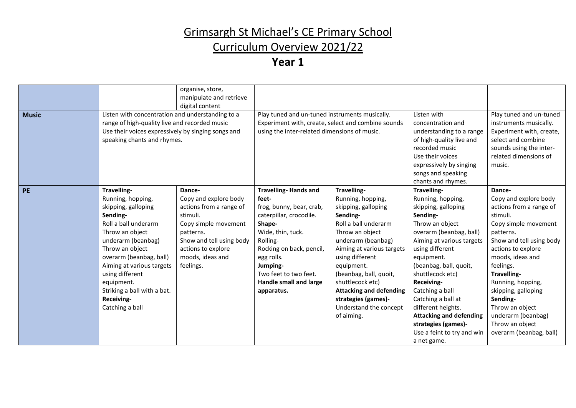### Curriculum Overview 2021/22

| <b>Music</b> | Listen with concentration and understanding to a                                                                                                                                                                                                                                                                 | organise, store,<br>manipulate and retrieve<br>digital content                                                                                                                                 | Play tuned and un-tuned instruments musically.                                                                                                                                                                                                                       |                                                                                                                                                                                                                                                                                                                                                   | Listen with                                                                                                                                                                                                                                                                                                                                                                                                      | Play tuned and un-tuned                                                                                                                                                                                                                                                                                                                                      |
|--------------|------------------------------------------------------------------------------------------------------------------------------------------------------------------------------------------------------------------------------------------------------------------------------------------------------------------|------------------------------------------------------------------------------------------------------------------------------------------------------------------------------------------------|----------------------------------------------------------------------------------------------------------------------------------------------------------------------------------------------------------------------------------------------------------------------|---------------------------------------------------------------------------------------------------------------------------------------------------------------------------------------------------------------------------------------------------------------------------------------------------------------------------------------------------|------------------------------------------------------------------------------------------------------------------------------------------------------------------------------------------------------------------------------------------------------------------------------------------------------------------------------------------------------------------------------------------------------------------|--------------------------------------------------------------------------------------------------------------------------------------------------------------------------------------------------------------------------------------------------------------------------------------------------------------------------------------------------------------|
|              | range of high-quality live and recorded music<br>Use their voices expressively by singing songs and<br>speaking chants and rhymes.                                                                                                                                                                               |                                                                                                                                                                                                | Experiment with, create, select and combine sounds<br>using the inter-related dimensions of music.                                                                                                                                                                   |                                                                                                                                                                                                                                                                                                                                                   | concentration and<br>understanding to a range<br>of high-quality live and<br>recorded music<br>Use their voices<br>expressively by singing<br>songs and speaking<br>chants and rhymes.                                                                                                                                                                                                                           | instruments musically.<br>Experiment with, create,<br>select and combine<br>sounds using the inter-<br>related dimensions of<br>music.                                                                                                                                                                                                                       |
| <b>PE</b>    | Travelling-<br>Running, hopping,<br>skipping, galloping<br>Sending-<br>Roll a ball underarm<br>Throw an object<br>underarm (beanbag)<br>Throw an object<br>overarm (beanbag, ball)<br>Aiming at various targets<br>using different<br>equipment.<br>Striking a ball with a bat.<br>Receiving-<br>Catching a ball | Dance-<br>Copy and explore body<br>actions from a range of<br>stimuli.<br>Copy simple movement<br>patterns.<br>Show and tell using body<br>actions to explore<br>moods, ideas and<br>feelings. | <b>Travelling-Hands and</b><br>feet-<br>frog, bunny, bear, crab,<br>caterpillar, crocodile.<br>Shape-<br>Wide, thin, tuck.<br>Rolling-<br>Rocking on back, pencil,<br>egg rolls.<br>Jumping-<br>Two feet to two feet.<br><b>Handle small and large</b><br>apparatus. | Travelling-<br>Running, hopping,<br>skipping, galloping<br>Sending-<br>Roll a ball underarm<br>Throw an object<br>underarm (beanbag)<br>Aiming at various targets<br>using different<br>equipment.<br>(beanbag, ball, quoit,<br>shuttlecock etc)<br><b>Attacking and defending</b><br>strategies (games)-<br>Understand the concept<br>of aiming. | Travelling-<br>Running, hopping,<br>skipping, galloping<br>Sending-<br>Throw an object<br>overarm (beanbag, ball)<br>Aiming at various targets<br>using different<br>equipment.<br>(beanbag, ball, quoit,<br>shuttlecock etc)<br>Receiving-<br>Catching a ball<br>Catching a ball at<br>different heights.<br><b>Attacking and defending</b><br>strategies (games)-<br>Use a feint to try and win<br>a net game. | Dance-<br>Copy and explore body<br>actions from a range of<br>stimuli.<br>Copy simple movement<br>patterns.<br>Show and tell using body<br>actions to explore<br>moods, ideas and<br>feelings.<br>Travelling-<br>Running, hopping,<br>skipping, galloping<br>Sending-<br>Throw an object<br>underarm (beanbag)<br>Throw an object<br>overarm (beanbag, ball) |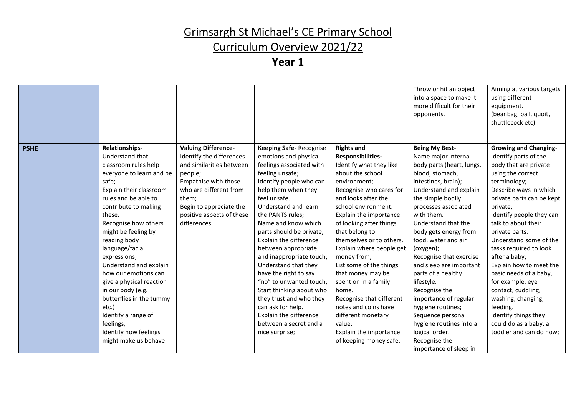### Curriculum Overview 2021/22

|             |                                                                                                                                                                                                                                                                                                                                                                                                                                                                                                                     |                                                                                                                                                                                                                                  |                                                                                                                                                                                                                                                                                                                                                                                                                                                                                                                                                                                   |                                                                                                                                                                                                                                                                                                                                                                                                                                                                                                                                                       | Throw or hit an object<br>into a space to make it<br>more difficult for their<br>opponents.                                                                                                                                                                                                                                                                                                                                                                                                                                                                        | Aiming at various targets<br>using different<br>equipment.<br>(beanbag, ball, quoit,<br>shuttlecock etc)                                                                                                                                                                                                                                                                                                                                                                                                                                      |
|-------------|---------------------------------------------------------------------------------------------------------------------------------------------------------------------------------------------------------------------------------------------------------------------------------------------------------------------------------------------------------------------------------------------------------------------------------------------------------------------------------------------------------------------|----------------------------------------------------------------------------------------------------------------------------------------------------------------------------------------------------------------------------------|-----------------------------------------------------------------------------------------------------------------------------------------------------------------------------------------------------------------------------------------------------------------------------------------------------------------------------------------------------------------------------------------------------------------------------------------------------------------------------------------------------------------------------------------------------------------------------------|-------------------------------------------------------------------------------------------------------------------------------------------------------------------------------------------------------------------------------------------------------------------------------------------------------------------------------------------------------------------------------------------------------------------------------------------------------------------------------------------------------------------------------------------------------|--------------------------------------------------------------------------------------------------------------------------------------------------------------------------------------------------------------------------------------------------------------------------------------------------------------------------------------------------------------------------------------------------------------------------------------------------------------------------------------------------------------------------------------------------------------------|-----------------------------------------------------------------------------------------------------------------------------------------------------------------------------------------------------------------------------------------------------------------------------------------------------------------------------------------------------------------------------------------------------------------------------------------------------------------------------------------------------------------------------------------------|
| <b>PSHE</b> | Relationships-<br>Understand that<br>classroom rules help<br>everyone to learn and be<br>safe;<br>Explain their classroom<br>rules and be able to<br>contribute to making<br>these.<br>Recognise how others<br>might be feeling by<br>reading body<br>language/facial<br>expressions;<br>Understand and explain<br>how our emotions can<br>give a physical reaction<br>in our body (e.g.<br>butterflies in the tummy<br>etc.)<br>Identify a range of<br>feelings;<br>Identify how feelings<br>might make us behave: | <b>Valuing Difference-</b><br>Identify the differences<br>and similarities between<br>people;<br>Empathise with those<br>who are different from<br>them;<br>Begin to appreciate the<br>positive aspects of these<br>differences. | <b>Keeping Safe-Recognise</b><br>emotions and physical<br>feelings associated with<br>feeling unsafe;<br>Identify people who can<br>help them when they<br>feel unsafe.<br>Understand and learn<br>the PANTS rules;<br>Name and know which<br>parts should be private;<br>Explain the difference<br>between appropriate<br>and inappropriate touch;<br>Understand that they<br>have the right to say<br>"no" to unwanted touch;<br>Start thinking about who<br>they trust and who they<br>can ask for help.<br>Explain the difference<br>between a secret and a<br>nice surprise; | <b>Rights and</b><br>Responsibilities-<br>Identify what they like<br>about the school<br>environment;<br>Recognise who cares for<br>and looks after the<br>school environment.<br>Explain the importance<br>of looking after things<br>that belong to<br>themselves or to others.<br>Explain where people get<br>money from;<br>List some of the things<br>that money may be<br>spent on in a family<br>home.<br>Recognise that different<br>notes and coins have<br>different monetary<br>value;<br>Explain the importance<br>of keeping money safe; | <b>Being My Best-</b><br>Name major internal<br>body parts (heart, lungs,<br>blood, stomach,<br>intestines, brain);<br>Understand and explain<br>the simple bodily<br>processes associated<br>with them.<br>Understand that the<br>body gets energy from<br>food, water and air<br>(oxygen);<br>Recognise that exercise<br>and sleep are important<br>parts of a healthy<br>lifestyle.<br>Recognise the<br>importance of regular<br>hygiene routines;<br>Sequence personal<br>hygiene routines into a<br>logical order.<br>Recognise the<br>importance of sleep in | <b>Growing and Changing-</b><br>Identify parts of the<br>body that are private<br>using the correct<br>terminology;<br>Describe ways in which<br>private parts can be kept<br>private;<br>Identify people they can<br>talk to about their<br>private parts.<br>Understand some of the<br>tasks required to look<br>after a baby;<br>Explain how to meet the<br>basic needs of a baby,<br>for example, eye<br>contact, cuddling,<br>washing, changing,<br>feeding.<br>Identify things they<br>could do as a baby, a<br>toddler and can do now; |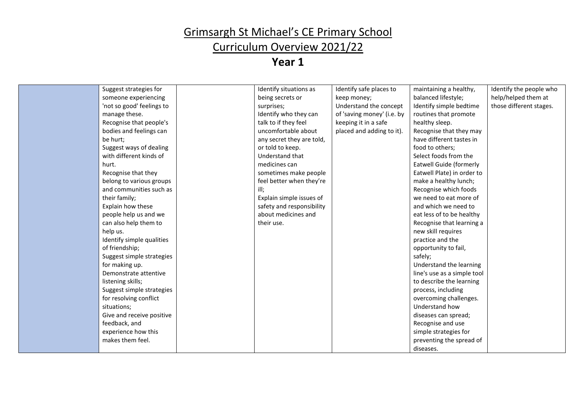### Curriculum Overview 2021/22

| Suggest strategies for<br>Identify situations as<br>Identify safe places to<br>maintaining a healthy,<br>Identify the people who<br>being secrets or<br>balanced lifestyle;<br>help/helped them at<br>someone experiencing<br>keep money;<br>Identify simple bedtime<br>'not so good' feelings to<br>Understand the concept<br>those different stages.<br>surprises;<br>manage these.<br>Identify who they can<br>of 'saving money' (i.e. by<br>routines that promote<br>Recognise that people's<br>talk to if they feel<br>keeping it in a safe<br>healthy sleep.<br>uncomfortable about<br>bodies and feelings can<br>placed and adding to it).<br>Recognise that they may<br>have different tastes in<br>be hurt;<br>any secret they are told,<br>Suggest ways of dealing<br>or told to keep.<br>food to others;<br>with different kinds of<br>Understand that<br>Select foods from the<br>medicines can<br>Eatwell Guide (formerly<br>hurt.<br>Recognise that they<br>sometimes make people<br>Eatwell Plate) in order to<br>feel better when they're<br>make a healthy lunch;<br>belong to various groups<br>and communities such as<br>Recognise which foods<br>their family;<br>Explain simple issues of<br>we need to eat more of<br>Explain how these<br>safety and responsibility<br>and which we need to<br>about medicines and<br>people help us and we<br>eat less of to be healthy<br>can also help them to<br>their use.<br>Recognise that learning a<br>help us.<br>new skill requires<br>Identify simple qualities<br>practice and the<br>of friendship;<br>opportunity to fail,<br>Suggest simple strategies<br>safely;<br>Understand the learning<br>for making up.<br>Demonstrate attentive<br>line's use as a simple tool<br>listening skills;<br>to describe the learning<br>Suggest simple strategies<br>process, including<br>for resolving conflict<br>overcoming challenges.<br>situations;<br>Understand how<br>Give and receive positive<br>diseases can spread;<br>feedback, and<br>Recognise and use<br>experience how this<br>simple strategies for<br>makes them feel.<br>preventing the spread of<br>diseases. |  |  |  |
|-------------------------------------------------------------------------------------------------------------------------------------------------------------------------------------------------------------------------------------------------------------------------------------------------------------------------------------------------------------------------------------------------------------------------------------------------------------------------------------------------------------------------------------------------------------------------------------------------------------------------------------------------------------------------------------------------------------------------------------------------------------------------------------------------------------------------------------------------------------------------------------------------------------------------------------------------------------------------------------------------------------------------------------------------------------------------------------------------------------------------------------------------------------------------------------------------------------------------------------------------------------------------------------------------------------------------------------------------------------------------------------------------------------------------------------------------------------------------------------------------------------------------------------------------------------------------------------------------------------------------------------------------------------------------------------------------------------------------------------------------------------------------------------------------------------------------------------------------------------------------------------------------------------------------------------------------------------------------------------------------------------------------------------------------------------------------------------------------------------------------------------------------|--|--|--|
|                                                                                                                                                                                                                                                                                                                                                                                                                                                                                                                                                                                                                                                                                                                                                                                                                                                                                                                                                                                                                                                                                                                                                                                                                                                                                                                                                                                                                                                                                                                                                                                                                                                                                                                                                                                                                                                                                                                                                                                                                                                                                                                                                 |  |  |  |
|                                                                                                                                                                                                                                                                                                                                                                                                                                                                                                                                                                                                                                                                                                                                                                                                                                                                                                                                                                                                                                                                                                                                                                                                                                                                                                                                                                                                                                                                                                                                                                                                                                                                                                                                                                                                                                                                                                                                                                                                                                                                                                                                                 |  |  |  |
|                                                                                                                                                                                                                                                                                                                                                                                                                                                                                                                                                                                                                                                                                                                                                                                                                                                                                                                                                                                                                                                                                                                                                                                                                                                                                                                                                                                                                                                                                                                                                                                                                                                                                                                                                                                                                                                                                                                                                                                                                                                                                                                                                 |  |  |  |
|                                                                                                                                                                                                                                                                                                                                                                                                                                                                                                                                                                                                                                                                                                                                                                                                                                                                                                                                                                                                                                                                                                                                                                                                                                                                                                                                                                                                                                                                                                                                                                                                                                                                                                                                                                                                                                                                                                                                                                                                                                                                                                                                                 |  |  |  |
|                                                                                                                                                                                                                                                                                                                                                                                                                                                                                                                                                                                                                                                                                                                                                                                                                                                                                                                                                                                                                                                                                                                                                                                                                                                                                                                                                                                                                                                                                                                                                                                                                                                                                                                                                                                                                                                                                                                                                                                                                                                                                                                                                 |  |  |  |
|                                                                                                                                                                                                                                                                                                                                                                                                                                                                                                                                                                                                                                                                                                                                                                                                                                                                                                                                                                                                                                                                                                                                                                                                                                                                                                                                                                                                                                                                                                                                                                                                                                                                                                                                                                                                                                                                                                                                                                                                                                                                                                                                                 |  |  |  |
|                                                                                                                                                                                                                                                                                                                                                                                                                                                                                                                                                                                                                                                                                                                                                                                                                                                                                                                                                                                                                                                                                                                                                                                                                                                                                                                                                                                                                                                                                                                                                                                                                                                                                                                                                                                                                                                                                                                                                                                                                                                                                                                                                 |  |  |  |
|                                                                                                                                                                                                                                                                                                                                                                                                                                                                                                                                                                                                                                                                                                                                                                                                                                                                                                                                                                                                                                                                                                                                                                                                                                                                                                                                                                                                                                                                                                                                                                                                                                                                                                                                                                                                                                                                                                                                                                                                                                                                                                                                                 |  |  |  |
|                                                                                                                                                                                                                                                                                                                                                                                                                                                                                                                                                                                                                                                                                                                                                                                                                                                                                                                                                                                                                                                                                                                                                                                                                                                                                                                                                                                                                                                                                                                                                                                                                                                                                                                                                                                                                                                                                                                                                                                                                                                                                                                                                 |  |  |  |
|                                                                                                                                                                                                                                                                                                                                                                                                                                                                                                                                                                                                                                                                                                                                                                                                                                                                                                                                                                                                                                                                                                                                                                                                                                                                                                                                                                                                                                                                                                                                                                                                                                                                                                                                                                                                                                                                                                                                                                                                                                                                                                                                                 |  |  |  |
|                                                                                                                                                                                                                                                                                                                                                                                                                                                                                                                                                                                                                                                                                                                                                                                                                                                                                                                                                                                                                                                                                                                                                                                                                                                                                                                                                                                                                                                                                                                                                                                                                                                                                                                                                                                                                                                                                                                                                                                                                                                                                                                                                 |  |  |  |
|                                                                                                                                                                                                                                                                                                                                                                                                                                                                                                                                                                                                                                                                                                                                                                                                                                                                                                                                                                                                                                                                                                                                                                                                                                                                                                                                                                                                                                                                                                                                                                                                                                                                                                                                                                                                                                                                                                                                                                                                                                                                                                                                                 |  |  |  |
|                                                                                                                                                                                                                                                                                                                                                                                                                                                                                                                                                                                                                                                                                                                                                                                                                                                                                                                                                                                                                                                                                                                                                                                                                                                                                                                                                                                                                                                                                                                                                                                                                                                                                                                                                                                                                                                                                                                                                                                                                                                                                                                                                 |  |  |  |
|                                                                                                                                                                                                                                                                                                                                                                                                                                                                                                                                                                                                                                                                                                                                                                                                                                                                                                                                                                                                                                                                                                                                                                                                                                                                                                                                                                                                                                                                                                                                                                                                                                                                                                                                                                                                                                                                                                                                                                                                                                                                                                                                                 |  |  |  |
|                                                                                                                                                                                                                                                                                                                                                                                                                                                                                                                                                                                                                                                                                                                                                                                                                                                                                                                                                                                                                                                                                                                                                                                                                                                                                                                                                                                                                                                                                                                                                                                                                                                                                                                                                                                                                                                                                                                                                                                                                                                                                                                                                 |  |  |  |
|                                                                                                                                                                                                                                                                                                                                                                                                                                                                                                                                                                                                                                                                                                                                                                                                                                                                                                                                                                                                                                                                                                                                                                                                                                                                                                                                                                                                                                                                                                                                                                                                                                                                                                                                                                                                                                                                                                                                                                                                                                                                                                                                                 |  |  |  |
|                                                                                                                                                                                                                                                                                                                                                                                                                                                                                                                                                                                                                                                                                                                                                                                                                                                                                                                                                                                                                                                                                                                                                                                                                                                                                                                                                                                                                                                                                                                                                                                                                                                                                                                                                                                                                                                                                                                                                                                                                                                                                                                                                 |  |  |  |
|                                                                                                                                                                                                                                                                                                                                                                                                                                                                                                                                                                                                                                                                                                                                                                                                                                                                                                                                                                                                                                                                                                                                                                                                                                                                                                                                                                                                                                                                                                                                                                                                                                                                                                                                                                                                                                                                                                                                                                                                                                                                                                                                                 |  |  |  |
|                                                                                                                                                                                                                                                                                                                                                                                                                                                                                                                                                                                                                                                                                                                                                                                                                                                                                                                                                                                                                                                                                                                                                                                                                                                                                                                                                                                                                                                                                                                                                                                                                                                                                                                                                                                                                                                                                                                                                                                                                                                                                                                                                 |  |  |  |
|                                                                                                                                                                                                                                                                                                                                                                                                                                                                                                                                                                                                                                                                                                                                                                                                                                                                                                                                                                                                                                                                                                                                                                                                                                                                                                                                                                                                                                                                                                                                                                                                                                                                                                                                                                                                                                                                                                                                                                                                                                                                                                                                                 |  |  |  |
|                                                                                                                                                                                                                                                                                                                                                                                                                                                                                                                                                                                                                                                                                                                                                                                                                                                                                                                                                                                                                                                                                                                                                                                                                                                                                                                                                                                                                                                                                                                                                                                                                                                                                                                                                                                                                                                                                                                                                                                                                                                                                                                                                 |  |  |  |
|                                                                                                                                                                                                                                                                                                                                                                                                                                                                                                                                                                                                                                                                                                                                                                                                                                                                                                                                                                                                                                                                                                                                                                                                                                                                                                                                                                                                                                                                                                                                                                                                                                                                                                                                                                                                                                                                                                                                                                                                                                                                                                                                                 |  |  |  |
|                                                                                                                                                                                                                                                                                                                                                                                                                                                                                                                                                                                                                                                                                                                                                                                                                                                                                                                                                                                                                                                                                                                                                                                                                                                                                                                                                                                                                                                                                                                                                                                                                                                                                                                                                                                                                                                                                                                                                                                                                                                                                                                                                 |  |  |  |
|                                                                                                                                                                                                                                                                                                                                                                                                                                                                                                                                                                                                                                                                                                                                                                                                                                                                                                                                                                                                                                                                                                                                                                                                                                                                                                                                                                                                                                                                                                                                                                                                                                                                                                                                                                                                                                                                                                                                                                                                                                                                                                                                                 |  |  |  |
|                                                                                                                                                                                                                                                                                                                                                                                                                                                                                                                                                                                                                                                                                                                                                                                                                                                                                                                                                                                                                                                                                                                                                                                                                                                                                                                                                                                                                                                                                                                                                                                                                                                                                                                                                                                                                                                                                                                                                                                                                                                                                                                                                 |  |  |  |
|                                                                                                                                                                                                                                                                                                                                                                                                                                                                                                                                                                                                                                                                                                                                                                                                                                                                                                                                                                                                                                                                                                                                                                                                                                                                                                                                                                                                                                                                                                                                                                                                                                                                                                                                                                                                                                                                                                                                                                                                                                                                                                                                                 |  |  |  |
|                                                                                                                                                                                                                                                                                                                                                                                                                                                                                                                                                                                                                                                                                                                                                                                                                                                                                                                                                                                                                                                                                                                                                                                                                                                                                                                                                                                                                                                                                                                                                                                                                                                                                                                                                                                                                                                                                                                                                                                                                                                                                                                                                 |  |  |  |
|                                                                                                                                                                                                                                                                                                                                                                                                                                                                                                                                                                                                                                                                                                                                                                                                                                                                                                                                                                                                                                                                                                                                                                                                                                                                                                                                                                                                                                                                                                                                                                                                                                                                                                                                                                                                                                                                                                                                                                                                                                                                                                                                                 |  |  |  |
|                                                                                                                                                                                                                                                                                                                                                                                                                                                                                                                                                                                                                                                                                                                                                                                                                                                                                                                                                                                                                                                                                                                                                                                                                                                                                                                                                                                                                                                                                                                                                                                                                                                                                                                                                                                                                                                                                                                                                                                                                                                                                                                                                 |  |  |  |
|                                                                                                                                                                                                                                                                                                                                                                                                                                                                                                                                                                                                                                                                                                                                                                                                                                                                                                                                                                                                                                                                                                                                                                                                                                                                                                                                                                                                                                                                                                                                                                                                                                                                                                                                                                                                                                                                                                                                                                                                                                                                                                                                                 |  |  |  |
|                                                                                                                                                                                                                                                                                                                                                                                                                                                                                                                                                                                                                                                                                                                                                                                                                                                                                                                                                                                                                                                                                                                                                                                                                                                                                                                                                                                                                                                                                                                                                                                                                                                                                                                                                                                                                                                                                                                                                                                                                                                                                                                                                 |  |  |  |
|                                                                                                                                                                                                                                                                                                                                                                                                                                                                                                                                                                                                                                                                                                                                                                                                                                                                                                                                                                                                                                                                                                                                                                                                                                                                                                                                                                                                                                                                                                                                                                                                                                                                                                                                                                                                                                                                                                                                                                                                                                                                                                                                                 |  |  |  |